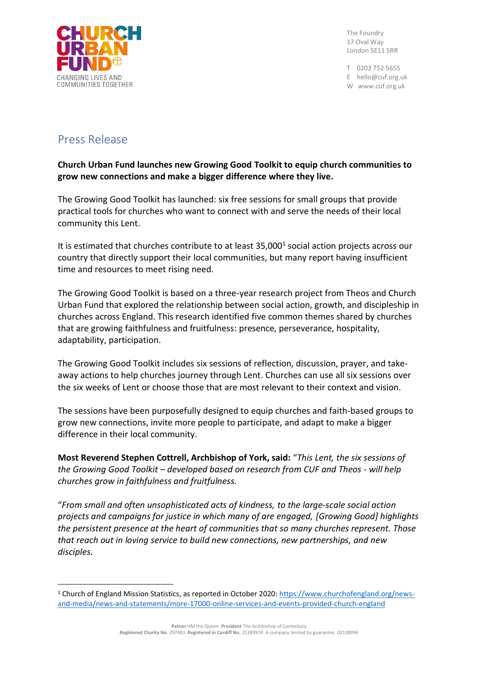

The Foundry 17 Oval Way London SE11 5RR

T 0203 752 5655 E hello@cuf.org.uk W www.cuf.org.uk

## Press Release

## **Church Urban Fund launches new Growing Good Toolkit to equip church communities to grow new connections and make a bigger difference where they live.**

The Growing Good Toolkit has launched: six free sessions for small groups that provide practical tools for churches who want to connect with and serve the needs of their local community this Lent.

It is estimated that churches contribute to at least  $35,000<sup>1</sup>$  social action projects across our country that directly support their local communities, but many report having insufficient time and resources to meet rising need.

The Growing Good Toolkit is based on a three-year research project from Theos and Church Urban Fund that explored the relationship between social action, growth, and discipleship in churches across England. This research identified five common themes shared by churches that are growing faithfulness and fruitfulness: presence, perseverance, hospitality, adaptability, participation.

The Growing Good Toolkit includes six sessions of reflection, discussion, prayer, and takeaway actions to help churches journey through Lent. Churches can use all six sessions over the six weeks of Lent or choose those that are most relevant to their context and vision.

The sessions have been purposefully designed to equip churches and faith-based groups to grow new connections, invite more people to participate, and adapt to make a bigger difference in their local community.

**Most Reverend Stephen Cottrell, Archbishop of York, said:** "*This Lent, the six sessions of the Growing Good Toolkit – developed based on research from CUF and Theos - will help churches grow in faithfulness and fruitfulness.*

"*From small and often unsophisticated acts of kindness, to the large-scale social action projects and campaigns for justice in which many of are engaged, [Growing Good] highlights the persistent presence at the heart of communities that so many churches represent. Those that reach out in loving service to build new connections, new partnerships, and new disciples.*

**Patron** HM the Queen **President** The Archbishop of Canterbury

**Registered Charity No.** 297483. **Registered in Cardiff No.** 21389974. A company limited by guarantee. 02138994

<sup>1</sup> Church of England Mission Statistics, as reported in October 2020: [https://www.churchofengland.org/news](https://www.churchofengland.org/news-and-media/news-and-statements/more-17000-online-services-and-events-provided-church-england)[and-media/news-and-statements/more-17000-online-services-and-events-provided-church-england](https://www.churchofengland.org/news-and-media/news-and-statements/more-17000-online-services-and-events-provided-church-england)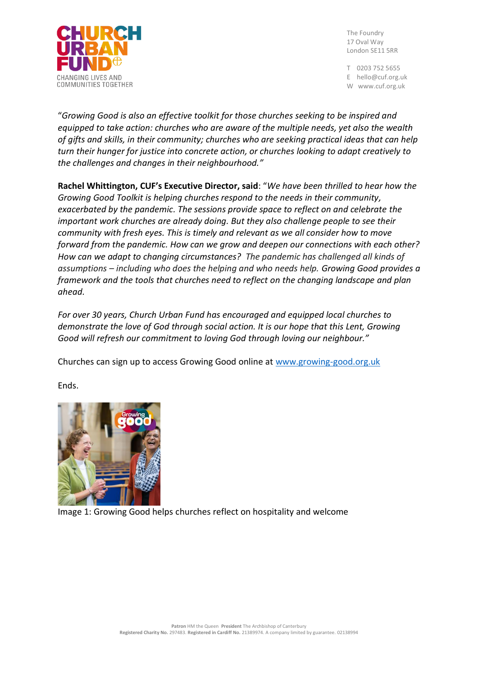

The Foundry 17 Oval Way London SE11 5RR

T 0203 752 5655 E hello@cuf.org.uk W www.cuf.org.uk

"*Growing Good is also an effective toolkit for those churches seeking to be inspired and equipped to take action: churches who are aware of the multiple needs, yet also the wealth of gifts and skills, in their community; churches who are seeking practical ideas that can help turn their hunger for justice into concrete action, or churches looking to adapt creatively to the challenges and changes in their neighbourhood."*

**Rachel Whittington, CUF's Executive Director, said**: "*We have been thrilled to hear how the Growing Good Toolkit is helping churches respond to the needs in their community, exacerbated by the pandemic. The sessions provide space to reflect on and celebrate the important work churches are already doing. But they also challenge people to see their community with fresh eyes. This is timely and relevant as we all consider how to move forward from the pandemic. How can we grow and deepen our connections with each other? How can we adapt to changing circumstances? The pandemic has challenged all kinds of assumptions – including who does the helping and who needs help. Growing Good provides a framework and the tools that churches need to reflect on the changing landscape and plan ahead.*

*For over 30 years, Church Urban Fund has encouraged and equipped local churches to demonstrate the love of God through social action. It is our hope that this Lent, Growing Good will refresh our commitment to loving God through loving our neighbour."*

Churches can sign up to access Growing Good online at [www.growing-good.org.uk](http://www.growing-good.org.uk/)

Ends.



Image 1: Growing Good helps churches reflect on hospitality and welcome